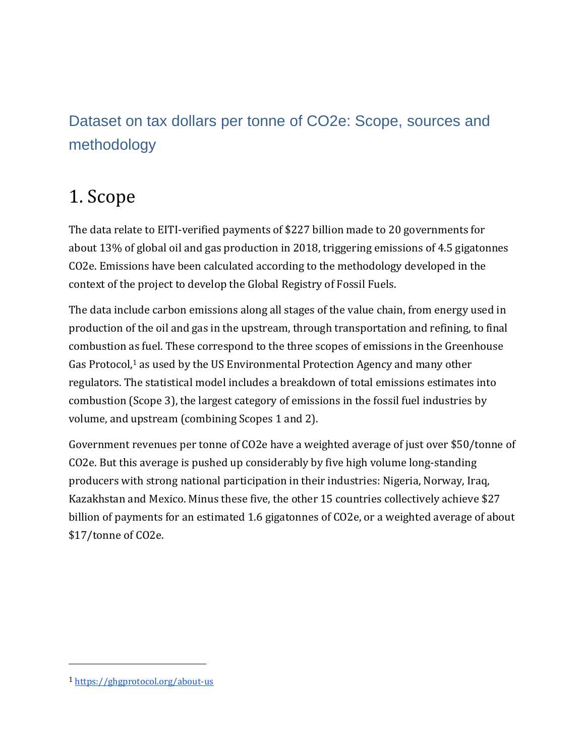## Dataset on tax dollars per tonne of CO2e: Scope, sources and methodology

# 1. Scope

The data relate to EITI-verified payments of \$227 billion made to 20 governments for about 13% of global oil and gas production in 2018, triggering emissions of 4.5 gigatonnes CO2e. Emissions have been calculated according to the methodology developed in the context of the project to develop the Global Registry of Fossil Fuels.

The data include carbon emissions along all stages of the value chain, from energy used in production of the oil and gas in the upstream, through transportation and refining, to final combustion as fuel. These correspond to the three scopes of emissions in the Greenhouse Gas Protocol,<sup>1</sup> as used by the US Environmental Protection Agency and many other regulators. The statistical model includes a breakdown of total emissions estimates into combustion (Scope 3), the largest category of emissions in the fossil fuel industries by volume, and upstream (combining Scopes 1 and 2).

Government revenues per tonne of CO2e have a weighted average of just over \$50/tonne of CO2e. But this average is pushed up considerably by five high volume long-standing producers with strong national participation in their industries: Nigeria, Norway, Iraq, Kazakhstan and Mexico. Minus these five, the other 15 countries collectively achieve \$27 billion of payments for an estimated 1.6 gigatonnes of CO2e, or a weighted average of about \$17/tonne of CO2e.

<sup>1</sup> <https://ghgprotocol.org/about-us>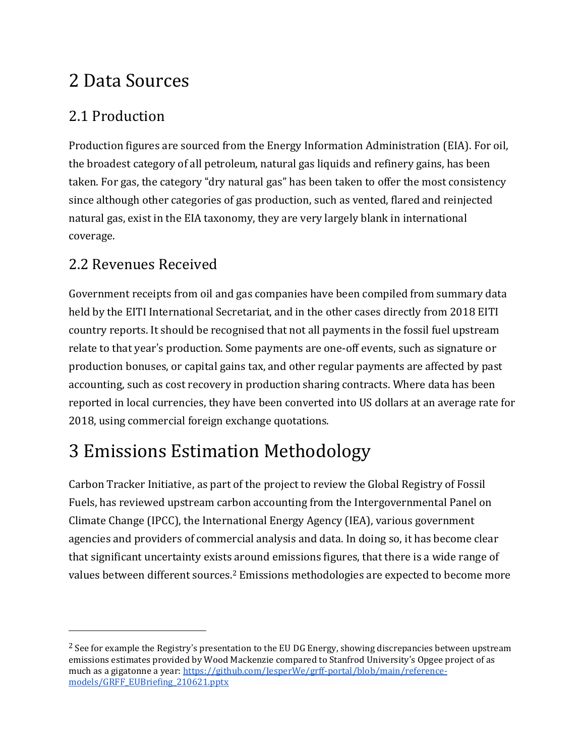## 2 Data Sources

### 2.1 Production

Production figures are sourced from the Energy Information Administration (EIA). For oil, the broadest category of all petroleum, natural gas liquids and refinery gains, has been taken. For gas, the category "dry natural gas" has been taken to offer the most consistency since although other categories of gas production, such as vented, flared and reinjected natural gas, exist in the EIA taxonomy, they are very largely blank in international coverage.

### 2.2 Revenues Received

Government receipts from oil and gas companies have been compiled from summary data held by the EITI International Secretariat, and in the other cases directly from 2018 EITI country reports. It should be recognised that not all payments in the fossil fuel upstream relate to that year's production. Some payments are one-off events, such as signature or production bonuses, or capital gains tax, and other regular payments are affected by past accounting, such as cost recovery in production sharing contracts. Where data has been reported in local currencies, they have been converted into US dollars at an average rate for 2018, using commercial foreign exchange quotations.

# 3 Emissions Estimation Methodology

Carbon Tracker Initiative, as part of the project to review the Global Registry of Fossil Fuels, has reviewed upstream carbon accounting from the Intergovernmental Panel on Climate Change (IPCC), the International Energy Agency (IEA), various government agencies and providers of commercial analysis and data. In doing so, it has become clear that significant uncertainty exists around emissions figures, that there is a wide range of values between different sources.<sup>2</sup> Emissions methodologies are expected to become more

<sup>&</sup>lt;sup>2</sup> See for example the Registry's presentation to the EU DG Energy, showing discrepancies between upstream emissions estimates provided by Wood Mackenzie compared to Stanfrod University's Opgee project of as much as a gigatonne a year: [https://github.com/JesperWe/grff-portal/blob/main/reference](https://github.com/JesperWe/grff-portal/blob/main/reference-models/GRFF_EUBriefing_210621.pptx)[models/GRFF\\_EUBriefing\\_210621.pptx](https://github.com/JesperWe/grff-portal/blob/main/reference-models/GRFF_EUBriefing_210621.pptx)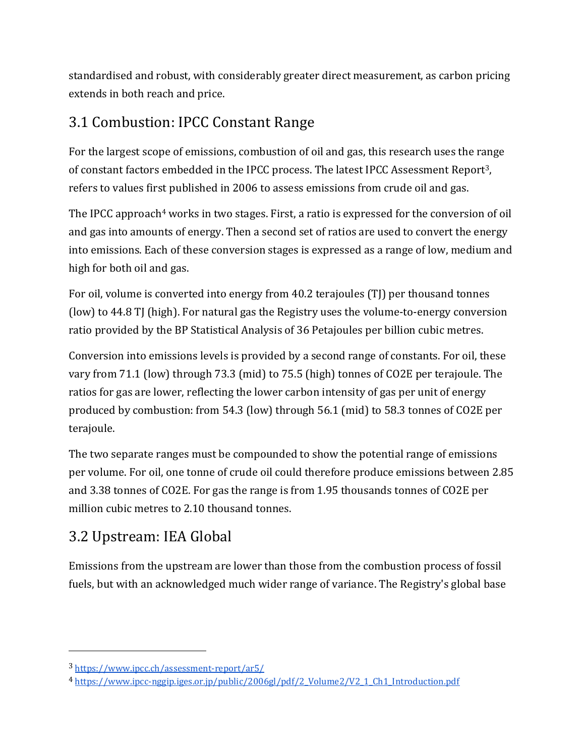standardised and robust, with considerably greater direct measurement, as carbon pricing extends in both reach and price.

### 3.1 Combustion: IPCC Constant Range

For the largest scope of emissions, combustion of oil and gas, this research uses the range of constant factors embedded in the IPCC process. The latest IPCC Assessment Report3, refers to values first published in 2006 to assess emissions from crude oil and gas.

The IPCC approach<sup>4</sup> works in two stages. First, a ratio is expressed for the conversion of oil and gas into amounts of energy. Then a second set of ratios are used to convert the energy into emissions. Each of these conversion stages is expressed as a range of low, medium and high for both oil and gas.

For oil, volume is converted into energy from 40.2 terajoules (TJ) per thousand tonnes (low) to 44.8 TJ (high). For natural gas the Registry uses the volume-to-energy conversion ratio provided by the BP Statistical Analysis of 36 Petajoules per billion cubic metres.

Conversion into emissions levels is provided by a second range of constants. For oil, these vary from 71.1 (low) through 73.3 (mid) to 75.5 (high) tonnes of CO2E per terajoule. The ratios for gas are lower, reflecting the lower carbon intensity of gas per unit of energy produced by combustion: from 54.3 (low) through 56.1 (mid) to 58.3 tonnes of CO2E per terajoule.

The two separate ranges must be compounded to show the potential range of emissions per volume. For oil, one tonne of crude oil could therefore produce emissions between 2.85 and 3.38 tonnes of CO2E. For gas the range is from 1.95 thousands tonnes of CO2E per million cubic metres to 2.10 thousand tonnes.

### 3.2 Upstream: IEA Global

Emissions from the upstream are lower than those from the combustion process of fossil fuels, but with an acknowledged much wider range of variance. The Registry's global base

<sup>3</sup> <https://www.ipcc.ch/assessment-report/ar5/>

<sup>4</sup> [https://www.ipcc-nggip.iges.or.jp/public/2006gl/pdf/2\\_Volume2/V2\\_1\\_Ch1\\_Introduction.pdf](https://www.ipcc-nggip.iges.or.jp/public/2006gl/pdf/2_Volume2/V2_1_Ch1_Introduction.pdf)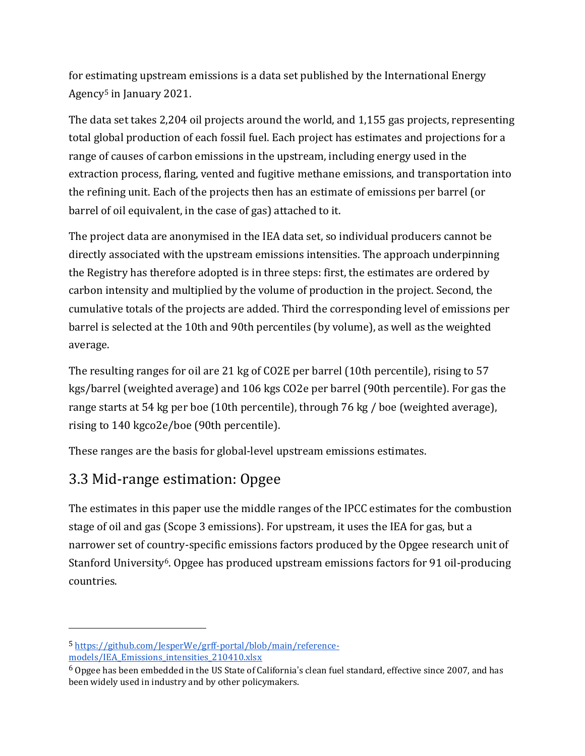for estimating upstream emissions is a data set published by the International Energy Agency<sup>5</sup> in January 2021.

The data set takes 2,204 oil projects around the world, and 1,155 gas projects, representing total global production of each fossil fuel. Each project has estimates and projections for a range of causes of carbon emissions in the upstream, including energy used in the extraction process, flaring, vented and fugitive methane emissions, and transportation into the refining unit. Each of the projects then has an estimate of emissions per barrel (or barrel of oil equivalent, in the case of gas) attached to it.

The project data are anonymised in the IEA data set, so individual producers cannot be directly associated with the upstream emissions intensities. The approach underpinning the Registry has therefore adopted is in three steps: first, the estimates are ordered by carbon intensity and multiplied by the volume of production in the project. Second, the cumulative totals of the projects are added. Third the corresponding level of emissions per barrel is selected at the 10th and 90th percentiles (by volume), as well as the weighted average.

The resulting ranges for oil are 21 kg of CO2E per barrel (10th percentile), rising to 57 kgs/barrel (weighted average) and 106 kgs CO2e per barrel (90th percentile). For gas the range starts at 54 kg per boe (10th percentile), through 76 kg / boe (weighted average), rising to 140 kgco2e/boe (90th percentile).

These ranges are the basis for global-level upstream emissions estimates.

### 3.3 Mid-range estimation: Opgee

The estimates in this paper use the middle ranges of the IPCC estimates for the combustion stage of oil and gas (Scope 3 emissions). For upstream, it uses the IEA for gas, but a narrower set of country-specific emissions factors produced by the Opgee research unit of Stanford University6. Opgee has produced upstream emissions factors for 91 oil-producing countries.

<sup>5</sup> [https://github.com/JesperWe/grff-portal/blob/main/reference](https://github.com/JesperWe/grff-portal/blob/main/reference-models/IEA_Emissions_intensities_210410.xlsx)[models/IEA\\_Emissions\\_intensities\\_210410.xlsx](https://github.com/JesperWe/grff-portal/blob/main/reference-models/IEA_Emissions_intensities_210410.xlsx)

<sup>6</sup> Opgee has been embedded in the US State of California's clean fuel standard, effective since 2007, and has been widely used in industry and by other policymakers.